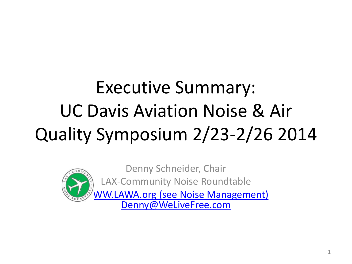## Executive Summary: UC Davis Aviation Noise & Air Quality Symposium 2/23-2/26 2014



Denny Schneider, Chair LAX-Community Noise Roundtable **M.LAWA.org (see Noise Management)** 

[Denny@WeLiveFree.com](mailto:Denny@WeLiveFree.com)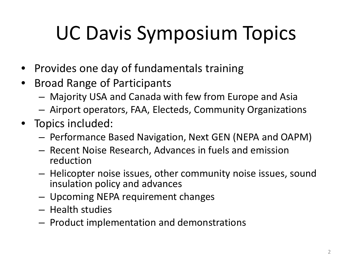# UC Davis Symposium Topics

- Provides one day of fundamentals training
- Broad Range of Participants
	- Majority USA and Canada with few from Europe and Asia
	- Airport operators, FAA, Electeds, Community Organizations
- Topics included:
	- Performance Based Navigation, Next GEN (NEPA and OAPM)
	- Recent Noise Research, Advances in fuels and emission reduction
	- Helicopter noise issues, other community noise issues, sound insulation policy and advances
	- Upcoming NEPA requirement changes
	- Health studies
	- Product implementation and demonstrations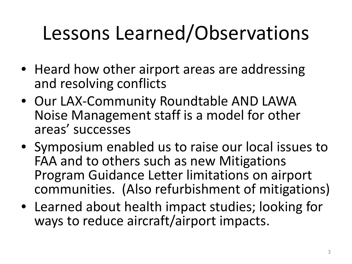## Lessons Learned/Observations

- Heard how other airport areas are addressing and resolving conflicts
- Our LAX-Community Roundtable AND LAWA Noise Management staff is a model for other areas' successes
- Symposium enabled us to raise our local issues to FAA and to others such as new Mitigations Program Guidance Letter limitations on airport communities. (Also refurbishment of mitigations)
- Learned about health impact studies; looking for ways to reduce aircraft/airport impacts.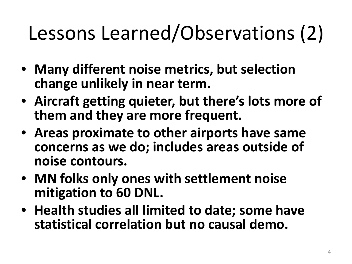## Lessons Learned/Observations (2)

- **Many different noise metrics, but selection change unlikely in near term.**
- **Aircraft getting quieter, but there's lots more of them and they are more frequent.**
- **Areas proximate to other airports have same concerns as we do; includes areas outside of noise contours.**
- **MN folks only ones with settlement noise mitigation to 60 DNL.**
- **Health studies all limited to date; some have statistical correlation but no causal demo.**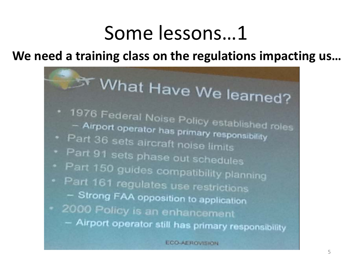**We need a training class on the regulations impacting us…**



**ECO-AEROVISION**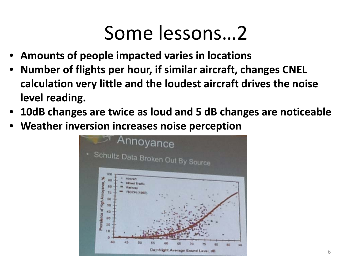- **Amounts of people impacted varies in locations**
- **Number of flights per hour, if similar aircraft, changes CNEL calculation very little and the loudest aircraft drives the noise level reading.**
- **10dB changes are twice as loud and 5 dB changes are noticeable**
- **Weather inversion increases noise perception**

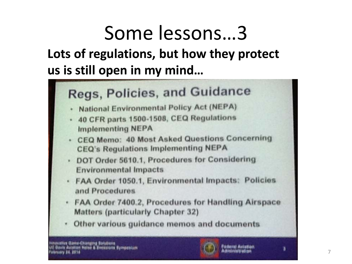**Lots of regulations, but how they protect us is still open in my mind…**



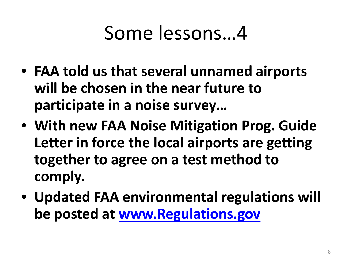- **FAA told us that several unnamed airports will be chosen in the near future to participate in a noise survey…**
- **With new FAA Noise Mitigation Prog. Guide Letter in force the local airports are getting together to agree on a test method to comply.**
- **Updated FAA environmental regulations will be posted at [www.Regulations.gov](http://www.regulations.gov/)**